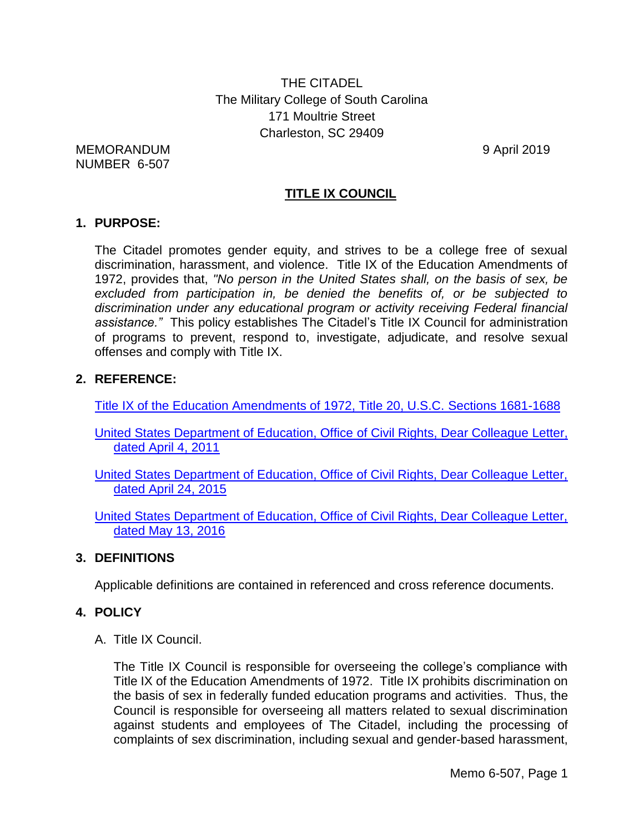THE CITADEL The Military College of South Carolina 171 Moultrie Street Charleston, SC 29409

MEMORANDUM 9 April 2019 NUMBER 6-507

## **TITLE IX COUNCIL**

#### **1. PURPOSE:**

The Citadel promotes gender equity, and strives to be a college free of sexual discrimination, harassment, and violence. Title IX of the Education Amendments of 1972, provides that, *"No person in the United States shall, on the basis of sex, be excluded from participation in, be denied the benefits of, or be subjected to discrimination under any educational program or activity receiving Federal financial assistance."* This policy establishes The Citadel's Title IX Council for administration of programs to prevent, respond to, investigate, adjudicate, and resolve sexual offenses and comply with Title IX.

#### **2. REFERENCE:**

[Title IX of the Education Amendments of 1972, Title 20, U.S.C. Sections 1681-1688](http://www2.ed.gov/policy/rights/reg/ocr/edlite-34cfr106.html)

[United States Department of Education, Office of Civil Rights, Dear Colleague Letter,](http://www2.ed.gov/about/offices/list/ocr/letters/colleague-201104.pdf)  [dated April 4, 2011](http://www2.ed.gov/about/offices/list/ocr/letters/colleague-201104.pdf)

[United States Department of Education, Office of Civil Rights, Dear Colleague Letter,](http://www2.ed.gov/about/offices/list/ocr/letters/colleague-201504-title-ix-coordinators.pdf)  [dated April 24, 2015](http://www2.ed.gov/about/offices/list/ocr/letters/colleague-201504-title-ix-coordinators.pdf)

[United States Department of Education, Office of Civil Rights, Dear Colleague Letter,](http://www2.ed.gov/about/offices/list/ocr/letters/colleague-201605-title-ix-transgender.pdf)  [dated May 13, 2016](http://www2.ed.gov/about/offices/list/ocr/letters/colleague-201605-title-ix-transgender.pdf)

#### **3. DEFINITIONS**

Applicable definitions are contained in referenced and cross reference documents.

#### **4. POLICY**

A. Title IX Council.

The Title IX Council is responsible for overseeing the college's compliance with Title IX of the Education Amendments of 1972. Title IX prohibits discrimination on the basis of sex in federally funded education programs and activities. Thus, the Council is responsible for overseeing all matters related to sexual discrimination against students and employees of The Citadel, including the processing of complaints of sex discrimination, including sexual and gender-based harassment,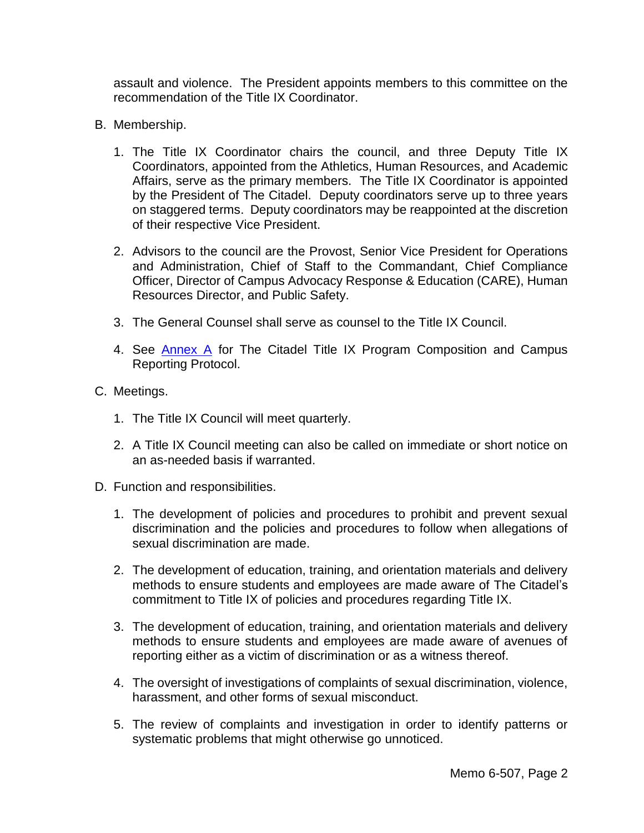assault and violence. The President appoints members to this committee on the recommendation of the Title IX Coordinator.

- B. Membership.
	- 1. The Title IX Coordinator chairs the council, and three Deputy Title IX Coordinators, appointed from the Athletics, Human Resources, and Academic Affairs, serve as the primary members. The Title IX Coordinator is appointed by the President of The Citadel. Deputy coordinators serve up to three years on staggered terms. Deputy coordinators may be reappointed at the discretion of their respective Vice President.
	- 2. Advisors to the council are the Provost, Senior Vice President for Operations and Administration, Chief of Staff to the Commandant, Chief Compliance Officer, Director of Campus Advocacy Response & Education (CARE), Human Resources Director, and Public Safety.
	- 3. The General Counsel shall serve as counsel to the Title IX Council.
	- 4. See [Annex A](#page-6-0) for The Citadel Title IX Program Composition and Campus Reporting Protocol.
- C. Meetings.
	- 1. The Title IX Council will meet quarterly.
	- 2. A Title IX Council meeting can also be called on immediate or short notice on an as-needed basis if warranted.
- D. Function and responsibilities.
	- 1. The development of policies and procedures to prohibit and prevent sexual discrimination and the policies and procedures to follow when allegations of sexual discrimination are made.
	- 2. The development of education, training, and orientation materials and delivery methods to ensure students and employees are made aware of The Citadel's commitment to Title IX of policies and procedures regarding Title IX.
	- 3. The development of education, training, and orientation materials and delivery methods to ensure students and employees are made aware of avenues of reporting either as a victim of discrimination or as a witness thereof.
	- 4. The oversight of investigations of complaints of sexual discrimination, violence, harassment, and other forms of sexual misconduct.
	- 5. The review of complaints and investigation in order to identify patterns or systematic problems that might otherwise go unnoticed.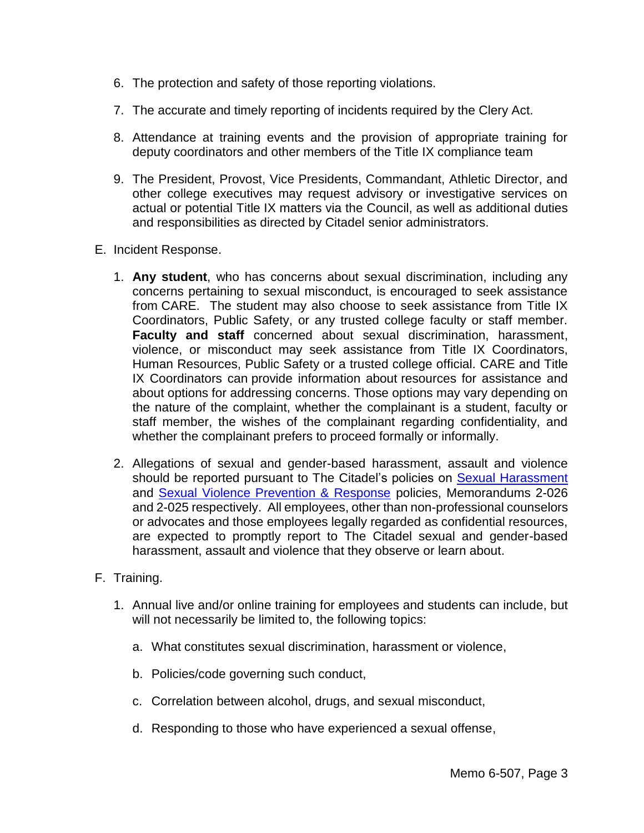- 6. The protection and safety of those reporting violations.
- 7. The accurate and timely reporting of incidents required by the Clery Act.
- 8. Attendance at training events and the provision of appropriate training for deputy coordinators and other members of the Title IX compliance team
- 9. The President, Provost, Vice Presidents, Commandant, Athletic Director, and other college executives may request advisory or investigative services on actual or potential Title IX matters via the Council, as well as additional duties and responsibilities as directed by Citadel senior administrators.
- E. Incident Response.
	- 1. **Any student**, who has concerns about sexual discrimination, including any concerns pertaining to sexual misconduct, is encouraged to seek assistance from CARE. The student may also choose to seek assistance from Title IX Coordinators, Public Safety, or any trusted college faculty or staff member. **Faculty and staff** concerned about sexual discrimination, harassment, violence, or misconduct may seek assistance from Title IX Coordinators, Human Resources, Public Safety or a trusted college official. CARE and Title IX Coordinators can provide information about resources for assistance and about options for addressing concerns. Those options may vary depending on the nature of the complaint, whether the complainant is a student, faculty or staff member, the wishes of the complainant regarding confidentiality, and whether the complainant prefers to proceed formally or informally.
	- 2. Allegations of sexual and gender-based harassment, assault and violence should be reported pursuant to The Citadel's policies on [Sexual Harassment](http://www.my.citadel.edu/root/images/policies/2-026-sexual-harassment-policy.pdf) and [Sexual Violence Prevention & Response](http://www.my.citadel.edu/root/images/policies/2-025-sexual-violence-prevention-and-response-policy.pdf) policies, Memorandums 2-026 and 2-025 respectively. All employees, other than non-professional counselors or advocates and those employees legally regarded as confidential resources, are expected to promptly report to The Citadel sexual and gender-based harassment, assault and violence that they observe or learn about.
- F. Training.
	- 1. Annual live and/or online training for employees and students can include, but will not necessarily be limited to, the following topics:
		- a. What constitutes sexual discrimination, harassment or violence,
		- b. Policies/code governing such conduct,
		- c. Correlation between alcohol, drugs, and sexual misconduct,
		- d. Responding to those who have experienced a sexual offense,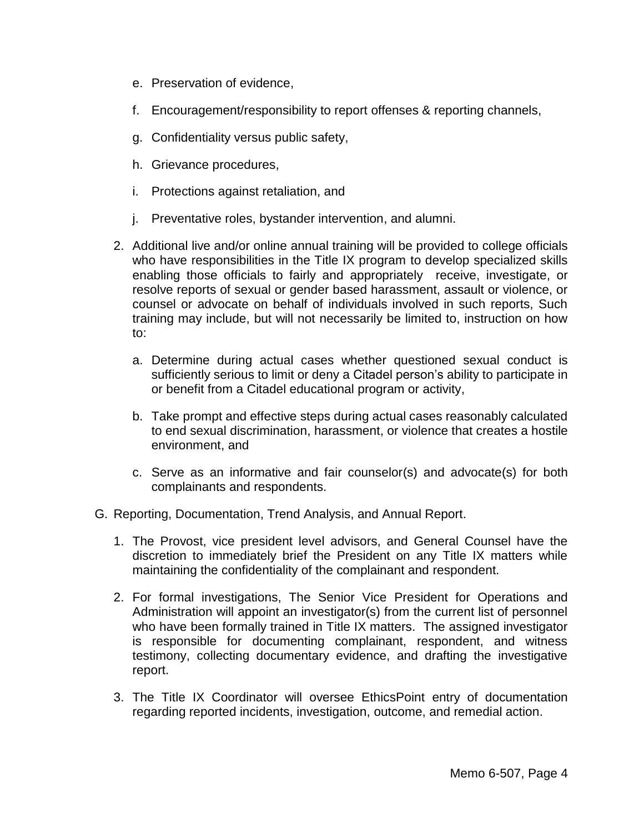- e. Preservation of evidence,
- f. Encouragement/responsibility to report offenses & reporting channels,
- g. Confidentiality versus public safety,
- h. Grievance procedures,
- i. Protections against retaliation, and
- j. Preventative roles, bystander intervention, and alumni.
- 2. Additional live and/or online annual training will be provided to college officials who have responsibilities in the Title IX program to develop specialized skills enabling those officials to fairly and appropriately receive, investigate, or resolve reports of sexual or gender based harassment, assault or violence, or counsel or advocate on behalf of individuals involved in such reports, Such training may include, but will not necessarily be limited to, instruction on how to:
	- a. Determine during actual cases whether questioned sexual conduct is sufficiently serious to limit or deny a Citadel person's ability to participate in or benefit from a Citadel educational program or activity,
	- b. Take prompt and effective steps during actual cases reasonably calculated to end sexual discrimination, harassment, or violence that creates a hostile environment, and
	- c. Serve as an informative and fair counselor(s) and advocate(s) for both complainants and respondents.
- G. Reporting, Documentation, Trend Analysis, and Annual Report.
	- 1. The Provost, vice president level advisors, and General Counsel have the discretion to immediately brief the President on any Title IX matters while maintaining the confidentiality of the complainant and respondent.
	- 2. For formal investigations, The Senior Vice President for Operations and Administration will appoint an investigator(s) from the current list of personnel who have been formally trained in Title IX matters. The assigned investigator is responsible for documenting complainant, respondent, and witness testimony, collecting documentary evidence, and drafting the investigative report.
	- 3. The Title IX Coordinator will oversee EthicsPoint entry of documentation regarding reported incidents, investigation, outcome, and remedial action.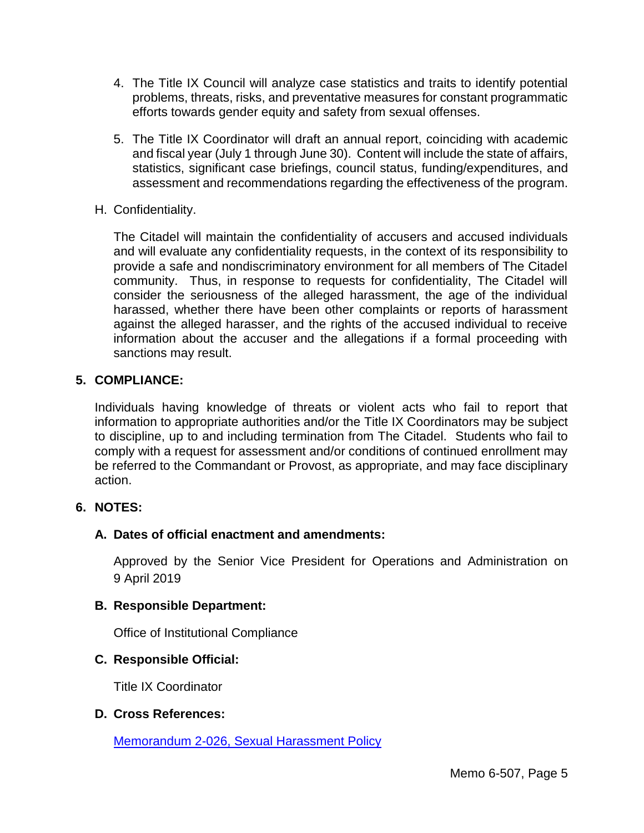- 4. The Title IX Council will analyze case statistics and traits to identify potential problems, threats, risks, and preventative measures for constant programmatic efforts towards gender equity and safety from sexual offenses.
- 5. The Title IX Coordinator will draft an annual report, coinciding with academic and fiscal year (July 1 through June 30). Content will include the state of affairs, statistics, significant case briefings, council status, funding/expenditures, and assessment and recommendations regarding the effectiveness of the program.
- H. Confidentiality.

The Citadel will maintain the confidentiality of accusers and accused individuals and will evaluate any confidentiality requests, in the context of its responsibility to provide a safe and nondiscriminatory environment for all members of The Citadel community. Thus, in response to requests for confidentiality, The Citadel will consider the seriousness of the alleged harassment, the age of the individual harassed, whether there have been other complaints or reports of harassment against the alleged harasser, and the rights of the accused individual to receive information about the accuser and the allegations if a formal proceeding with sanctions may result.

### **5. COMPLIANCE:**

Individuals having knowledge of threats or violent acts who fail to report that information to appropriate authorities and/or the Title IX Coordinators may be subject to discipline, up to and including termination from The Citadel. Students who fail to comply with a request for assessment and/or conditions of continued enrollment may be referred to the Commandant or Provost, as appropriate, and may face disciplinary action.

#### **6. NOTES:**

## **A. Dates of official enactment and amendments:**

Approved by the Senior Vice President for Operations and Administration on 9 April 2019

#### **B. Responsible Department:**

Office of Institutional Compliance

## **C. Responsible Official:**

Title IX Coordinator

#### **D. Cross References:**

[Memorandum 2-026, Sexual Harassment Policy](http://www.citadel.edu/root/images/policies/2-026-sexual-harassment-policy.pdf)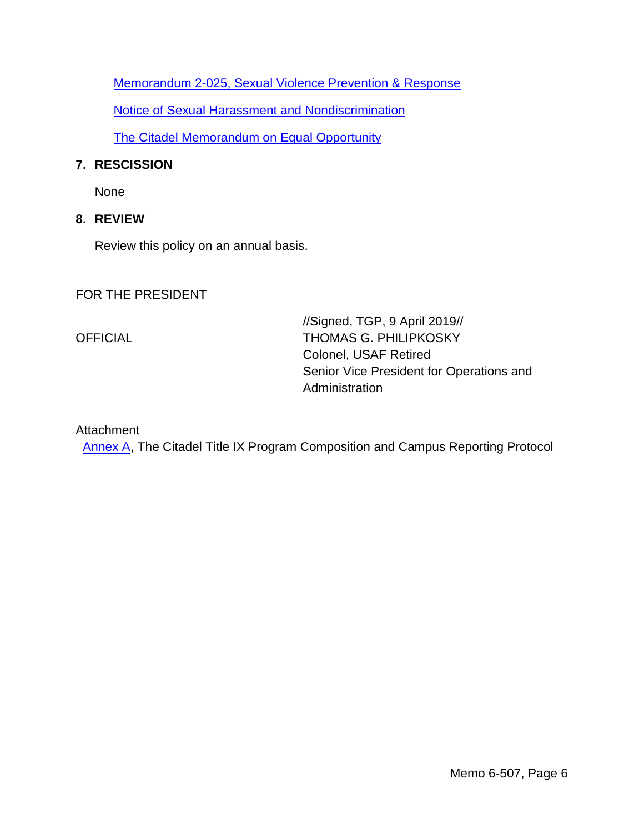[Memorandum 2-025, Sexual Violence Prevention & Response](http://www.citadel.edu/root/images/policies/2-025-sexual-violence-prevention-and-response-policy.pdf)

[Notice of Sexual Harassment and Nondiscrimination](http://www.citadel.edu/root/images/policies/notice-of-sexual-harassment-and-nondiscrimination.pdf)

[The Citadel Memorandum on Equal Opportunity](http://www.citadel.edu/root/images/bov/policies/presidents_equal_opportunity_memorandum.pdf)

### **7. RESCISSION**

None

### **8. REVIEW**

Review this policy on an annual basis.

FOR THE PRESIDENT

//Signed, TGP, 9 April 2019// OFFICIAL THOMAS G. PHILIPKOSKY Colonel, USAF Retired Senior Vice President for Operations and Administration

#### Attachment

[Annex A,](#page-6-0) The Citadel Title IX Program Composition and Campus Reporting Protocol